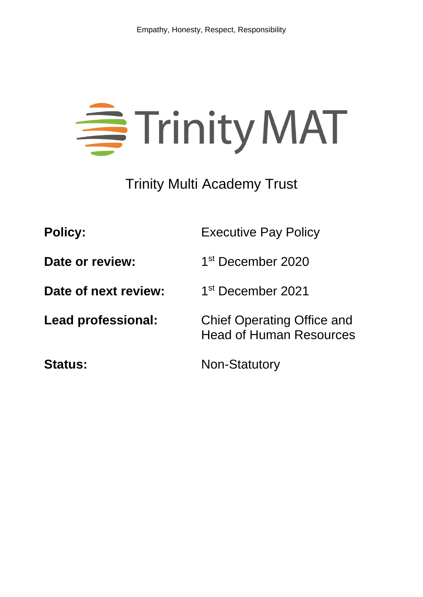

Trinity Multi Academy Trust

| <b>Policy:</b>            | <b>Executive Pay Policy</b>                                         |
|---------------------------|---------------------------------------------------------------------|
| Date or review:           | 1 <sup>st</sup> December 2020                                       |
| Date of next review:      | 1 <sup>st</sup> December 2021                                       |
| <b>Lead professional:</b> | <b>Chief Operating Office and</b><br><b>Head of Human Resources</b> |
| <b>Status:</b>            | <b>Non-Statutory</b>                                                |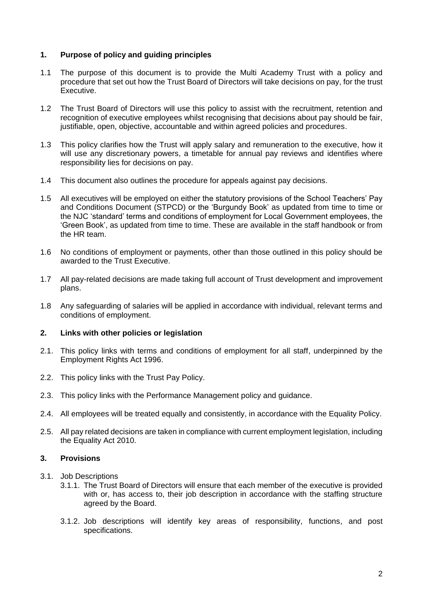# **1. Purpose of policy and guiding principles**

- 1.1 The purpose of this document is to provide the Multi Academy Trust with a policy and procedure that set out how the Trust Board of Directors will take decisions on pay, for the trust Executive.
- 1.2 The Trust Board of Directors will use this policy to assist with the recruitment, retention and recognition of executive employees whilst recognising that decisions about pay should be fair, justifiable, open, objective, accountable and within agreed policies and procedures.
- 1.3 This policy clarifies how the Trust will apply salary and remuneration to the executive, how it will use any discretionary powers, a timetable for annual pay reviews and identifies where responsibility lies for decisions on pay.
- 1.4 This document also outlines the procedure for appeals against pay decisions.
- 1.5 All executives will be employed on either the statutory provisions of the School Teachers' Pay and Conditions Document (STPCD) or the 'Burgundy Book' as updated from time to time or the NJC 'standard' terms and conditions of employment for Local Government employees, the 'Green Book', as updated from time to time. These are available in the staff handbook or from the HR team.
- 1.6 No conditions of employment or payments, other than those outlined in this policy should be awarded to the Trust Executive.
- 1.7 All pay-related decisions are made taking full account of Trust development and improvement plans.
- 1.8 Any safeguarding of salaries will be applied in accordance with individual, relevant terms and conditions of employment.

### **2. Links with other policies or legislation**

- 2.1. This policy links with terms and conditions of employment for all staff, underpinned by the Employment Rights Act 1996.
- 2.2. This policy links with the Trust Pay Policy.
- 2.3. This policy links with the Performance Management policy and guidance.
- 2.4. All employees will be treated equally and consistently, in accordance with the Equality Policy.
- 2.5. All pay related decisions are taken in compliance with current employment legislation, including the Equality Act 2010.

### **3. Provisions**

- 3.1. Job Descriptions
	- 3.1.1. The Trust Board of Directors will ensure that each member of the executive is provided with or, has access to, their job description in accordance with the staffing structure agreed by the Board.
	- 3.1.2. Job descriptions will identify key areas of responsibility, functions, and post specifications.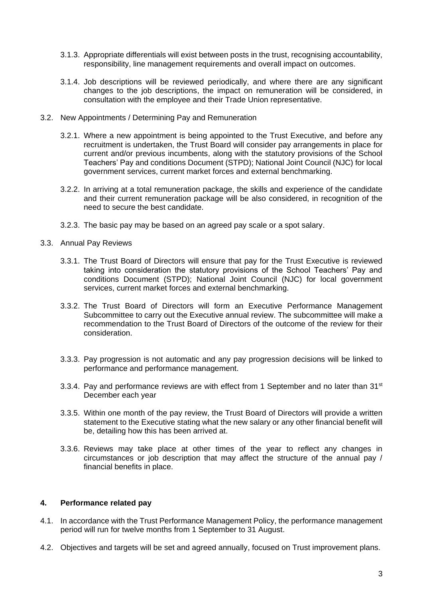- 3.1.3. Appropriate differentials will exist between posts in the trust, recognising accountability, responsibility, line management requirements and overall impact on outcomes.
- 3.1.4. Job descriptions will be reviewed periodically, and where there are any significant changes to the job descriptions, the impact on remuneration will be considered, in consultation with the employee and their Trade Union representative.
- 3.2. New Appointments / Determining Pay and Remuneration
	- 3.2.1. Where a new appointment is being appointed to the Trust Executive, and before any recruitment is undertaken, the Trust Board will consider pay arrangements in place for current and/or previous incumbents, along with the statutory provisions of the School Teachers' Pay and conditions Document (STPD); National Joint Council (NJC) for local government services, current market forces and external benchmarking.
	- 3.2.2. In arriving at a total remuneration package, the skills and experience of the candidate and their current remuneration package will be also considered, in recognition of the need to secure the best candidate.
	- 3.2.3. The basic pay may be based on an agreed pay scale or a spot salary.
- 3.3. Annual Pay Reviews
	- 3.3.1. The Trust Board of Directors will ensure that pay for the Trust Executive is reviewed taking into consideration the statutory provisions of the School Teachers' Pay and conditions Document (STPD); National Joint Council (NJC) for local government services, current market forces and external benchmarking.
	- 3.3.2. The Trust Board of Directors will form an Executive Performance Management Subcommittee to carry out the Executive annual review. The subcommittee will make a recommendation to the Trust Board of Directors of the outcome of the review for their consideration.
	- 3.3.3. Pay progression is not automatic and any pay progression decisions will be linked to performance and performance management.
	- 3.3.4. Pay and performance reviews are with effect from 1 September and no later than  $31^{st}$ December each year
	- 3.3.5. Within one month of the pay review, the Trust Board of Directors will provide a written statement to the Executive stating what the new salary or any other financial benefit will be, detailing how this has been arrived at.
	- 3.3.6. Reviews may take place at other times of the year to reflect any changes in circumstances or job description that may affect the structure of the annual pay / financial benefits in place.

### **4. Performance related pay**

- 4.1. In accordance with the Trust Performance Management Policy, the performance management period will run for twelve months from 1 September to 31 August.
- 4.2. Objectives and targets will be set and agreed annually, focused on Trust improvement plans.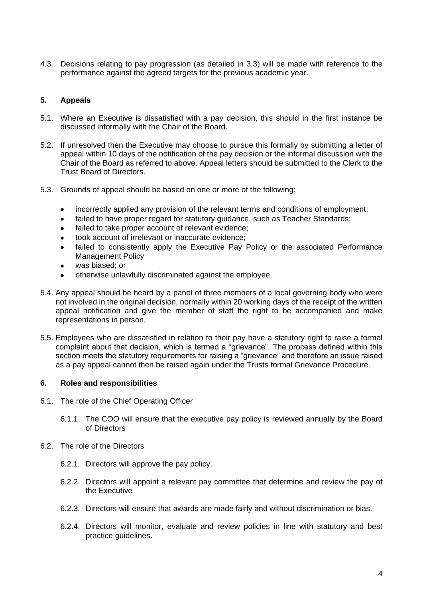4.3. Decisions relating to pay progression (as detailed in 3.3) will be made with reference to the performance against the agreed targets for the previous academic year.

# **5. Appeals**

- 5.1. Where an Executive is dissatisfied with a pay decision, this should in the first instance be discussed informally with the Chair of the Board.
- 5.2. If unresolved then the Executive may choose to pursue this formally by submitting a letter of appeal within 10 days of the notification of the pay decision or the informal discussion with the Chair of the Board as referred to above. Appeal letters should be submitted to the Clerk to the Trust Board of Directors.
- 5.3. Grounds of appeal should be based on one or more of the following:
	- incorrectly applied any provision of the relevant terms and conditions of employment:
	- failed to have proper regard for statutory guidance, such as Teacher Standards;
	- failed to take proper account of relevant evidence;
	- took account of irrelevant or inaccurate evidence;
	- failed to consistently apply the Executive Pay Policy or the associated Performance Management Policy
	- was biased; or
	- otherwise unlawfully discriminated against the employee.
- 5.4. Any appeal should be heard by a panel of three members of a local governing body who were not involved in the original decision, normally within 20 working days of the receipt of the written appeal notification and give the member of staff the right to be accompanied and make representations in person.
- 5.5. Employees who are dissatisfied in relation to their pay have a statutory right to raise a formal complaint about that decision, which is termed a "grievance". The process defined within this section meets the statutory requirements for raising a "grievance" and therefore an issue raised as a pay appeal cannot then be raised again under the Trusts formal Grievance Procedure.

### **6. Roles and responsibilities**

- 6.1. The role of the Chief Operating Officer
	- 6.1.1. The COO will ensure that the executive pay policy is reviewed annually by the Board of Directors
- 6.2. The role of the Directors
	- 6.2.1. Directors will approve the pay policy.
	- 6.2.2. Directors will appoint a relevant pay committee that determine and review the pay of the Executive
	- 6.2.3. Directors will ensure that awards are made fairly and without discrimination or bias.
	- 6.2.4. Directors will monitor, evaluate and review policies in line with statutory and best practice guidelines.